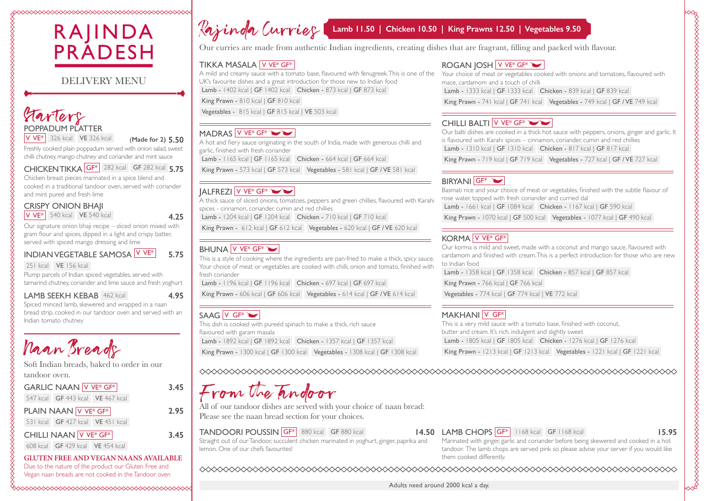### 



### DELIVERY MENU

### Starters POPPADUM PLATTER V VE\* 326 kcal VE 326 kcal (**Made for 2) 5.50**

Freshly cooked plain poppadum served with onion salad, sweet chilli chutney, mango chutney and coriander and mint sauce

CHICKEN TIKKA GF\* 282 kcal GF 282 kcal **5.75**

Chicken breast pieces marinated in a spice blend and cooked in a traditional tandoor oven, served with coriander and mint pureé and fresh lime

### CRISPY ONION BHAJI  $|V V E^*|$  540 kcal  $|V E 540$  kcal **4.25**

Our signature onion bhaji recipe – sliced onion mixed with gram flour and spices, dipped in a light and crispy batter, served with spiced mango dressing and lime

INDIAN VEGETABLE SAMOSA V VE\* **5.75**

251 kcal VE 156 kcal

Plump parcels of Indian spiced vegetables, served with tamarind chutney, coriander and lime sauce and fresh yoghurt

### LAMB SEEKH KEBAB 462 kcal **4.95**

Spiced minced lamb, skewered and wrapped in a naan bread strip, cooked in our tandoor oven and served with an Indian tomato chutney

Naan Breads

Soft Indian breads, baked to order in our tandoor oven.

GARLIC NAAN V VE<sup>\*</sup> GF<sup>\*</sup> 3.45 547 kcal GF 443 kcal VE 467 kcal PLAIN NAAN V VE\* GF\* **2.95** 531 kcal GF 427 kcal VE 451 kcal CHILLI NAAN V VE\* GF\* **3.45**

608 kcal GF 429 kcal VE 454 kcal

**GLUTEN FREE AND VEGAN NAANS AVAILABLE** Due to the nature of the product our Gluten Free and Vegan naan breads are not cooked in the Tandoor oven

# Rajinda Curries Lamb 11.50 | Chicken 10.50 | King Prawns 12.50 | Vegetables 9.50

Our curries are made from authentic Indian ingredients, creating dishes that are fragrant, filling and packed with flavour.

### TIKKA MASALA V VE\* GF\*

A mild and creamy sauce with a tomato base, flavoured with fenugreek. This is one of the UK's favourite dishes and a great introduction for those new to Indian food Lamb - 1402 kcal | GF 1402 kcal Chicken - 873 kcal | GF 873 kcal

King Prawn - 810 kcal | GF 810 kcal

Vegetables - 815 kcal | GF 815 kcal | VE 503 kcal

### MADRAS V VE\* GF\*

A hot and fiery sauce originating in the south of India, made with generous chilli and garlic, finished with fresh coriander

Lamb - 1165 kcal | GF 1165 kcal | Chicken - 664 kcal | GF 664 kcal

King Prawn - 573 kcal | GF 573 kcal | Vegetables - 581 kcal | GF / VE 581 kcal

### JALFREZI V VE\* GF\*

A thick sauce of sliced onions, tomatoes, peppers and green chillies, flavoured with Karahi spices - cinnamon, coriander, cumin and red chillies

Lamb - 1204 kcal | GF 1204 kcal | Chicken - 710 kcal | GF 710 kcal

King Prawn - 612 kcal | GF 612 kcal | Vegetables - 620 kcal | GF / VE 620 kcal

### BHUNA V VE\* GF\*

This is a style of cooking where the ingredients are pan-fried to make a thick, spicy sauce. Your choice of meat or vegetables are cooked with chilli, onion and tomato, finished with fresh coriander

Lamb - 1196 kcal | GF 1196 kcal Chicken - 697 kcal | GF 697 kcal

King Prawn - 606 kcal | GF 606 kcal | Vegetables - 614 kcal | GF / VE 614 kcal

### SAAG V GF<sup>\*</sup>

This dish is cooked with pureéd spinach to make a thick, rich sauce flavoured with garam masala Lamb - 1892 kcal | GF 1892 kcal Chicken - 1357 kcal | GF 1357 kcal King Prawn - 1300 kcal | GF 1300 kcal | Vegetables - 1308 kcal | GF 1308 kcal

### ROGAN JOSH V VE\* GF\*

Your choice of meat or vegetables cooked with onions and tomatoes, flavoured with mace, cardamom and a touch of chilli

Lamb - 1333 kcal | GF 1333 kcal Chicken - 839 kcal | GF 839 kcal

King Prawn - 741 kcal | GF 741 kcal | Vegetables - 749 kcal | GF / VE 749 kcal

### CHILLI BALTI V VE\*  $GF^*$

Our balti dishes are cooked in a thick hot sauce with peppers, onions, ginger and garlic. It is flavoured with Karahi spices – cinnamon, coriander, cumin and red chillies Lamb - 1310 kcal | GF 1310 kcal Chicken - 817 kcal | GF 817 kcal

King Prawn - 719 kcal | GF 719 kcal | Vegetables - 727 kcal | GF / VE 727 kcal |

### **BIRYANI** GF<sup>\*</sup>

Basmati rice and your choice of meat or vegetables, finished with the subtle flavour of rose water, topped with fresh coriander and curried dal

Lamb - 1661 kcal | GF 1084 kcal Chicken - 1167 kcal | GF 590 kcal

King Prawn - 1070 kcal | GF 500 kcal | Vegetables - 1077 kcal | GF 490 kcal |

### KORMA V VE\* GF\*

Our korma is mild and sweet, made with a coconut and mango sauce, flavoured with cardamom and finished with cream. This is a perfect introduction for those who are new to Indian food

Lamb - 1358 kcal | GF 1358 kcal Chicken - 857 kcal | GF 857 kcal

King Prawn - 766 kcal | GF 766 kcal

Vegetables - 774 kcal | GF 774 kcal | VE 772 kcal

### MAKHANI V GF<sup>\*</sup>

This is a very mild sauce with a tomato base, finished with coconut, butter and cream. It's rich, indulgent and slightly sweet Lamb - 1805 kcal | GF 1805 kcal Chicken - 1276 kcal | GF 1276 kcal

King Prawn - 1213 kcal | GF 1213 kcal | Vegetables - 1221 kcal | GF 1221 kcal |

# rom the Tandoor

All of our tandoor dishes are served with your choice of naan bread: Please see the naan bread section for your choices.

TANDOORI POUSSIN GF<sup>\*</sup> 880 kcal GF 880 kcal Straight out of our Tandoor, succulent chicken marinated in yoghurt, ginger, paprika and lemon. One of our chefs favourites!

### **14.50 LAMB CHOPS GF\*** 1168 kcal **GF 1168 kcal 15.95**

Marinated with ginger, garlic and coriander before being skewered and cooked in a hot tandoor. The lamb chops are served pink so please advise your server if you would like them cooked differently.

Adults need around 2000 kcal a day.

# www.com/www.com/www.com/www.com/www.com/www.com/www.com